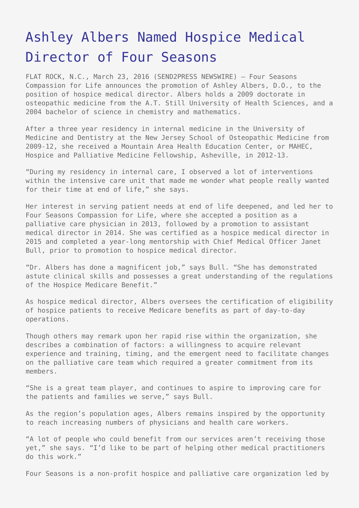## [Ashley Albers Named Hospice Medical](https://www.send2press.com/wire/albers-named-hospice-medical-director-of-four-seasons-2016-0323-03/) [Director of Four Seasons](https://www.send2press.com/wire/albers-named-hospice-medical-director-of-four-seasons-2016-0323-03/)

FLAT ROCK, N.C., March 23, 2016 (SEND2PRESS NEWSWIRE) — Four Seasons Compassion for Life announces the promotion of Ashley Albers, D.O., to the position of hospice medical director. Albers holds a 2009 doctorate in osteopathic medicine from the A.T. Still University of Health Sciences, and a 2004 bachelor of science in chemistry and mathematics.

After a three year residency in internal medicine in the University of Medicine and Dentistry at the New Jersey School of Osteopathic Medicine from 2009-12, she received a Mountain Area Health Education Center, or MAHEC, Hospice and Palliative Medicine Fellowship, Asheville, in 2012-13.

"During my residency in internal care, I observed a lot of interventions within the intensive care unit that made me wonder what people really wanted for their time at end of life," she says.

Her interest in serving patient needs at end of life deepened, and led her to Four Seasons Compassion for Life, where she accepted a position as a palliative care physician in 2013, followed by a promotion to assistant medical director in 2014. She was certified as a hospice medical director in 2015 and completed a year-long mentorship with Chief Medical Officer Janet Bull, prior to promotion to hospice medical director.

"Dr. Albers has done a magnificent job," says Bull. "She has demonstrated astute clinical skills and possesses a great understanding of the regulations of the Hospice Medicare Benefit."

As hospice medical director, Albers oversees the certification of eligibility of hospice patients to receive Medicare benefits as part of day-to-day operations.

Though others may remark upon her rapid rise within the organization, she describes a combination of factors: a willingness to acquire relevant experience and training, timing, and the emergent need to facilitate changes on the palliative care team which required a greater commitment from its members.

"She is a great team player, and continues to aspire to improving care for the patients and families we serve," says Bull.

As the region's population ages, Albers remains inspired by the opportunity to reach increasing numbers of physicians and health care workers.

"A lot of people who could benefit from our services aren't receiving those yet," she says. "I'd like to be part of helping other medical practitioners do this work."

Four Seasons is a non-profit hospice and palliative care organization led by